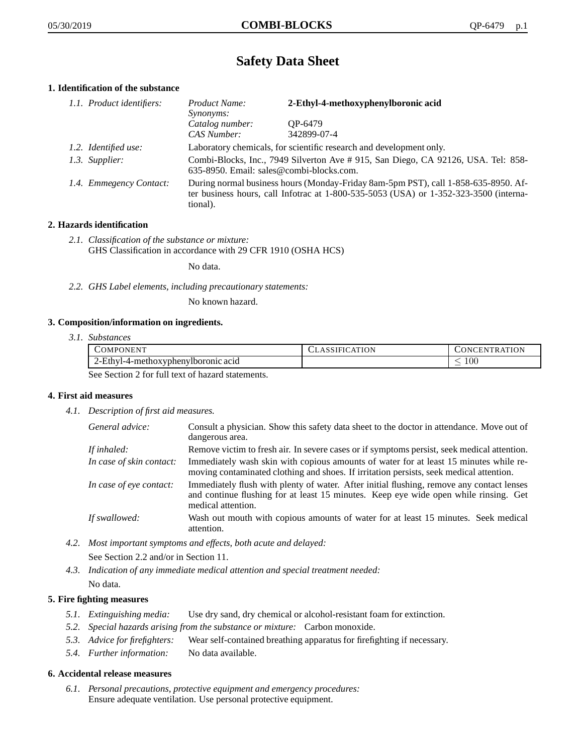# **Safety Data Sheet**

# **1. Identification of the substance**

| 1.1. Product identifiers: | Product Name:<br><i>Synonyms:</i>                                                                                                                                                           | 2-Ethyl-4-methoxyphenylboronic acid |
|---------------------------|---------------------------------------------------------------------------------------------------------------------------------------------------------------------------------------------|-------------------------------------|
|                           | Catalog number:<br>CAS Number:                                                                                                                                                              | OP-6479<br>342899-07-4              |
| 1.2. Identified use:      | Laboratory chemicals, for scientific research and development only.                                                                                                                         |                                     |
| 1.3. Supplier:            | Combi-Blocks, Inc., 7949 Silverton Ave # 915, San Diego, CA 92126, USA. Tel: 858-<br>635-8950. Email: sales@combi-blocks.com.                                                               |                                     |
| 1.4. Emmegency Contact:   | During normal business hours (Monday-Friday 8am-5pm PST), call 1-858-635-8950. Af-<br>ter business hours, call Infotrac at $1-800-535-5053$ (USA) or $1-352-323-3500$ (interna-<br>tional). |                                     |

# **2. Hazards identification**

*2.1. Classification of the substance or mixture:* GHS Classification in accordance with 29 CFR 1910 (OSHA HCS)

No data.

*2.2. GHS Label elements, including precautionary statements:*

No known hazard.

## **3. Composition/information on ingredients.**

*3.1. Substances*

| <b>COMPONENT</b>                                 | <b>CLASSIFICATION</b> | CONCENTRATION |
|--------------------------------------------------|-----------------------|---------------|
| 2-Ethyl-4-methoxyphenylboronic acid              |                       | 100           |
| See Section 2 for full tout of here at estaments |                       |               |

See Section 2 for full text of hazard statements.

## **4. First aid measures**

*4.1. Description of first aid measures.*

| General advice:          | Consult a physician. Show this safety data sheet to the doctor in attendance. Move out of<br>dangerous area.                                                                                            |
|--------------------------|---------------------------------------------------------------------------------------------------------------------------------------------------------------------------------------------------------|
| If inhaled:              | Remove victim to fresh air. In severe cases or if symptoms persist, seek medical attention.                                                                                                             |
| In case of skin contact: | Immediately wash skin with copious amounts of water for at least 15 minutes while re-<br>moving contaminated clothing and shoes. If irritation persists, seek medical attention.                        |
| In case of eye contact:  | Immediately flush with plenty of water. After initial flushing, remove any contact lenses<br>and continue flushing for at least 15 minutes. Keep eye wide open while rinsing. Get<br>medical attention. |
| If swallowed:            | Wash out mouth with copious amounts of water for at least 15 minutes. Seek medical<br>attention.                                                                                                        |

*4.2. Most important symptoms and effects, both acute and delayed:*

See Section 2.2 and/or in Section 11.

*4.3. Indication of any immediate medical attention and special treatment needed:* No data.

# **5. Fire fighting measures**

- *5.1. Extinguishing media:* Use dry sand, dry chemical or alcohol-resistant foam for extinction.
- *5.2. Special hazards arising from the substance or mixture:* Carbon monoxide.
- *5.3. Advice for firefighters:* Wear self-contained breathing apparatus for firefighting if necessary.
- *5.4. Further information:* No data available.

## **6. Accidental release measures**

*6.1. Personal precautions, protective equipment and emergency procedures:* Ensure adequate ventilation. Use personal protective equipment.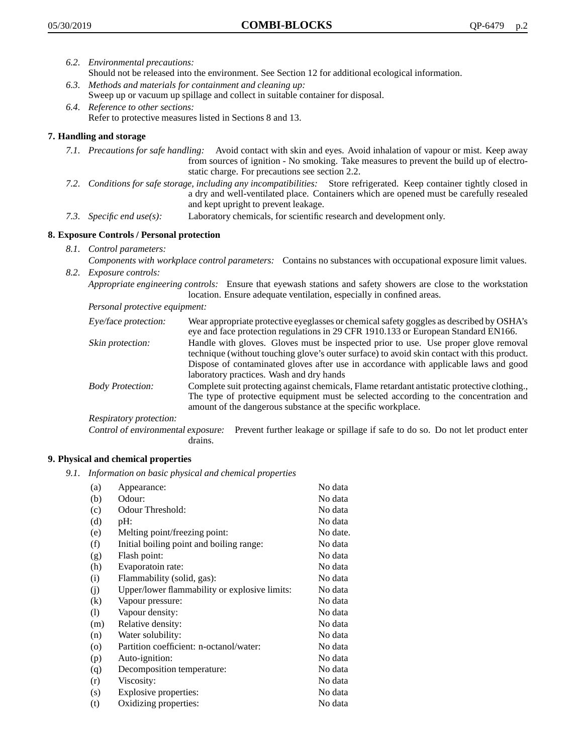- *6.2. Environmental precautions:*
	- Should not be released into the environment. See Section 12 for additional ecological information.
- *6.3. Methods and materials for containment and cleaning up:* Sweep up or vacuum up spillage and collect in suitable container for disposal.
- *6.4. Reference to other sections:* Refer to protective measures listed in Sections 8 and 13.

# **7. Handling and storage**

- *7.1. Precautions for safe handling:* Avoid contact with skin and eyes. Avoid inhalation of vapour or mist. Keep away from sources of ignition - No smoking. Take measures to prevent the build up of electrostatic charge. For precautions see section 2.2.
- *7.2. Conditions for safe storage, including any incompatibilities:* Store refrigerated. Keep container tightly closed in a dry and well-ventilated place. Containers which are opened must be carefully resealed and kept upright to prevent leakage.
- *7.3. Specific end use(s):* Laboratory chemicals, for scientific research and development only.

## **8. Exposure Controls / Personal protection**

- *8.1. Control parameters:*
- *Components with workplace control parameters:* Contains no substances with occupational exposure limit values. *8.2. Exposure controls:*

*Appropriate engineering controls:* Ensure that eyewash stations and safety showers are close to the workstation location. Ensure adequate ventilation, especially in confined areas.

*Personal protective equipment:*

| Eye/face protection:    | Wear appropriate protective eyeglasses or chemical safety goggles as described by OSHA's<br>eye and face protection regulations in 29 CFR 1910.133 or European Standard EN166.                                                                                                                                         |
|-------------------------|------------------------------------------------------------------------------------------------------------------------------------------------------------------------------------------------------------------------------------------------------------------------------------------------------------------------|
| Skin protection:        | Handle with gloves. Gloves must be inspected prior to use. Use proper glove removal<br>technique (without touching glove's outer surface) to avoid skin contact with this product.<br>Dispose of contaminated gloves after use in accordance with applicable laws and good<br>laboratory practices. Wash and dry hands |
| <b>Body Protection:</b> | Complete suit protecting against chemicals, Flame retardant antistatic protective clothing.,<br>The type of protective equipment must be selected according to the concentration and<br>amount of the dangerous substance at the specific workplace.                                                                   |
| Respiratory protection: |                                                                                                                                                                                                                                                                                                                        |

Control of environmental exposure: Prevent further leakage or spillage if safe to do so. Do not let product enter drains.

## **9. Physical and chemical properties**

*9.1. Information on basic physical and chemical properties*

| (a)     | Appearance:                                   | No data  |
|---------|-----------------------------------------------|----------|
| (b)     | Odour:                                        | No data  |
| (c)     | Odour Threshold:                              | No data  |
| (d)     | pH:                                           | No data  |
| (e)     | Melting point/freezing point:                 | No date. |
| (f)     | Initial boiling point and boiling range:      | No data  |
| (g)     | Flash point:                                  | No data  |
| (h)     | Evaporatoin rate:                             | No data  |
| (i)     | Flammability (solid, gas):                    | No data  |
| (i)     | Upper/lower flammability or explosive limits: | No data  |
| (k)     | Vapour pressure:                              | No data  |
| (1)     | Vapour density:                               | No data  |
| (m)     | Relative density:                             | No data  |
| (n)     | Water solubility:                             | No data  |
| $\circ$ | Partition coefficient: n-octanol/water:       | No data  |
| (p)     | Auto-ignition:                                | No data  |
| (q)     | Decomposition temperature:                    | No data  |
| (r)     | Viscosity:                                    | No data  |
| (s)     | Explosive properties:                         | No data  |
| (t)     | Oxidizing properties:                         | No data  |